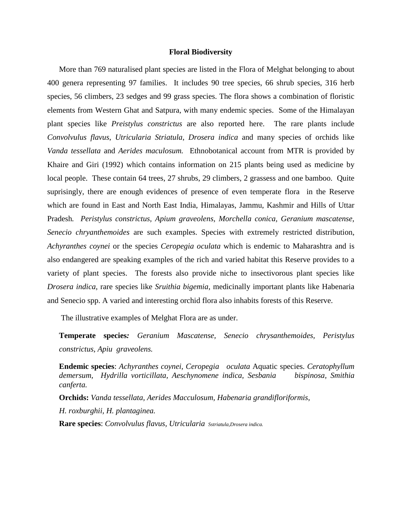## **Floral Biodiversity**

 More than 769 naturalised plant species are listed in the Flora of Melghat belonging to about 400 genera representing 97 families. It includes 90 tree species, 66 shrub species, 316 herb species, 56 climbers, 23 sedges and 99 grass species. The flora shows a combination of floristic elements from Western Ghat and Satpura, with many endemic species. Some of the Himalayan plant species like *Preistylus constrictus* are also reported here. The rare plants include *Convolvulus flavus*, *Utricularia Striatula*, *Drosera indica* and many species of orchids like *Vanda tessellata* and *Aerides maculosum.* Ethnobotanical account from MTR is provided by Khaire and Giri (1992) which contains information on 215 plants being used as medicine by local people. These contain 64 trees, 27 shrubs, 29 climbers, 2 grassess and one bamboo. Quite suprisingly, there are enough evidences of presence of even temperate flora in the Reserve which are found in East and North East India, Himalayas, Jammu, Kashmir and Hills of Uttar Pradesh*. Peristylus constrictus, Apium graveolens, Morchella conica, Geranium mascatense, Senecio chryanthemoides* are such examples. Species with extremely restricted distribution, *Achyranthes coynei* or the species *Ceropegia oculata* which is endemic to Maharashtra and is also endangered are speaking examples of the rich and varied habitat this Reserve provides to a variety of plant species. The forests also provide niche to insectivorous plant species like *Drosera indica*, rare species like *Sruithia bigemia*, medicinally important plants like Habenaria and Senecio spp. A varied and interesting orchid flora also inhabits forests of this Reserve.

The illustrative examples of Melghat Flora are as under.

**Temperate species***: Geranium Mascatense, Senecio chrysanthemoides, Peristylus constrictus, Apiu graveolens.*

**Endemic species**: *Achyranthes coynei, Ceropegia oculata* Aquatic species. *Ceratophyllum demersum, Hydrilla vorticillata, Aeschynomene indica, Sesbania bispinosa, Smithia canferta.*

 **Orchids:** *Vanda tessellata, Aerides Macculosum, Habenaria grandifloriformis, H. roxburghii, H. plantaginea.*

 **Rare species**: *Convolvulus flavus, Utricularia Sstriatula,Drosera indica.*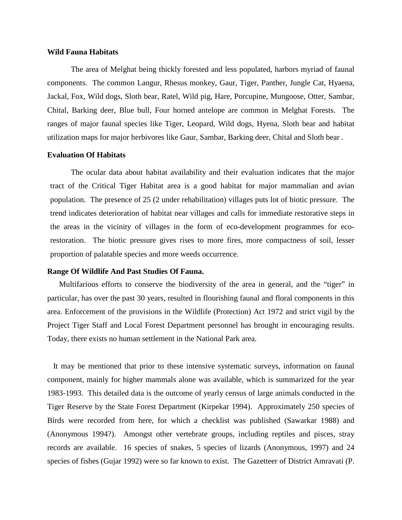## **Wild Fauna Habitats**

The area of Melghat being thickly forested and less populated, harbors myriad of faunal components. The common Langur, Rhesus monkey, Gaur, Tiger, Panther, Jungle Cat, Hyaena, Jackal, Fox, Wild dogs, Sloth bear, Ratel, Wild pig, Hare, Porcupine, Mungoose, Otter, Sambar, Chital, Barking deer, Blue bull, Four horned antelope are common in Melghat Forests. The ranges of major faunal species like Tiger, Leopard, Wild dogs, Hyena, Sloth bear and habitat utilization maps for major herbivores like Gaur, Sambar, Barking deer, Chital and Sloth bear .

## **Evaluation Of Habitats**

The ocular data about habitat availability and their evaluation indicates that the major tract of the Critical Tiger Habitat area is a good habitat for major mammalian and avian population. The presence of 25 (2 under rehabilitation) villages puts lot of biotic pressure. The trend indicates deterioration of habitat near villages and calls for immediate restorative steps in the areas in the vicinity of villages in the form of eco-development programmes for ecorestoration. The biotic pressure gives rises to more fires, more compactness of soil, lesser proportion of palatable species and more weeds occurrence.

## **Range Of Wildlife And Past Studies Of Fauna.**

 Multifarious efforts to conserve the biodiversity of the area in general, and the "tiger" in particular, has over the past 30 years, resulted in flourishing faunal and floral components in this area. Enforcement of the provisions in the Wildlife (Protection) Act 1972 and strict vigil by the Project Tiger Staff and Local Forest Department personnel has brought in encouraging results. Today, there exists no human settlement in the National Park area.

It may be mentioned that prior to these intensive systematic surveys, information on faunal component, mainly for higher mammals alone was available, which is summarized for the year 1983-1993. This detailed data is the outcome of yearly census of large animals conducted in the Tiger Reserve by the State Forest Department (Kirpekar 1994). Approximately 250 species of Birds were recorded from here, for which a checklist was published (Sawarkar 1988) and (Anonymous 1994?). Amongst other vertebrate groups, including reptiles and pisces, stray records are available. 16 species of snakes, 5 species of lizards (Anonymous, 1997) and 24 species of fishes (Gujar 1992) were so far known to exist. The Gazetteer of District Amravati (P.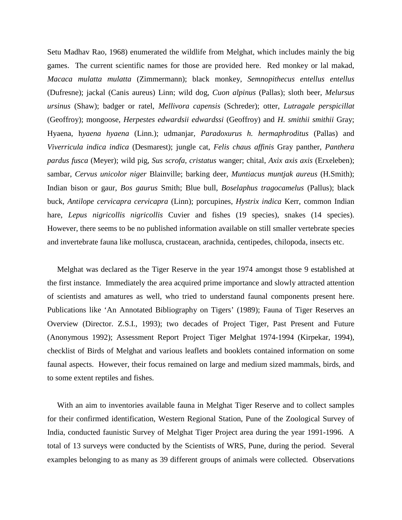Setu Madhav Rao, 1968) enumerated the wildlife from Melghat, which includes mainly the big games. The current scientific names for those are provided here. Red monkey or lal makad, *Macaca mulatta mulatta* (Zimmermann); black monkey, *Semnopithecus entellus entellus* (Dufresne); jackal (Canis aureus) Linn; wild dog, *Cuon alpinus* (Pallas); sloth beer*, Melursus ursinus* (Shaw); badger or ratel, *Mellivora capensis* (Schreder); otter, *Lutragale perspicillat* (Geoffroy); mongoose, *Herpestes edwardsii edwardssi* (Geoffroy) and *H. smithii smithii* Gray; Hyaena, h*yaena hyaena* (Linn.); udmanjar*, Paradoxurus h. hermaphroditus* (Pallas) and *Viverricula indica indica* (Desmarest); jungle cat, *Felis chaus affinis* Gray panther, *Panthera pardus fusca* (Meyer); wild pig, *Sus scrofa, cristatus* wanger; chital, *Axix axis axis* (Erxeleben); sambar, *Cervus unicolor niger* Blainville; barking deer, *Muntiacus muntjak aureus* (H.Smith); Indian bison or gaur, *Bos gaurus* Smith; Blue bull, *Boselaphus tragocamelus* (Pallus); black buck, *Antilope cervicapra cervicapra* (Linn); porcupines, *Hystrix indica* Kerr, common Indian hare, *Lepus nigricollis nigricollis* Cuvier and fishes (19 species), snakes (14 species). However, there seems to be no published information available on still smaller vertebrate species and invertebrate fauna like mollusca, crustacean, arachnida, centipedes, chilopoda, insects etc.

 Melghat was declared as the Tiger Reserve in the year 1974 amongst those 9 established at the first instance. Immediately the area acquired prime importance and slowly attracted attention of scientists and amatures as well, who tried to understand faunal components present here. Publications like 'An Annotated Bibliography on Tigers' (1989); Fauna of Tiger Reserves an Overview (Director. Z.S.I., 1993); two decades of Project Tiger, Past Present and Future (Anonymous 1992); Assessment Report Project Tiger Melghat 1974-1994 (Kirpekar, 1994), checklist of Birds of Melghat and various leaflets and booklets contained information on some faunal aspects. However, their focus remained on large and medium sized mammals, birds, and to some extent reptiles and fishes.

With an aim to inventories available fauna in Melghat Tiger Reserve and to collect samples for their confirmed identification, Western Regional Station, Pune of the Zoological Survey of India, conducted faunistic Survey of Melghat Tiger Project area during the year 1991-1996. A total of 13 surveys were conducted by the Scientists of WRS, Pune, during the period. Several examples belonging to as many as 39 different groups of animals were collected. Observations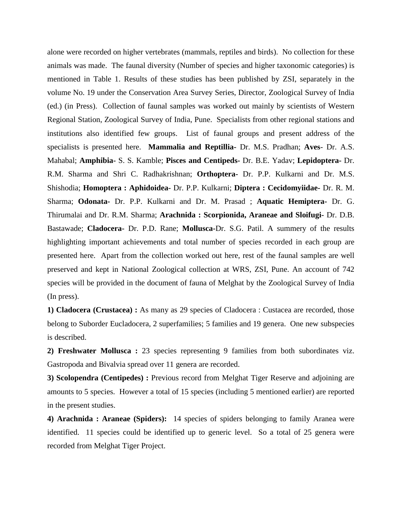alone were recorded on higher vertebrates (mammals, reptiles and birds). No collection for these animals was made. The faunal diversity (Number of species and higher taxonomic categories) is mentioned in Table 1. Results of these studies has been published by ZSI, separately in the volume No. 19 under the Conservation Area Survey Series, Director, Zoological Survey of India (ed.) (in Press). Collection of faunal samples was worked out mainly by scientists of Western Regional Station, Zoological Survey of India, Pune. Specialists from other regional stations and institutions also identified few groups. List of faunal groups and present address of the specialists is presented here. **Mammalia and Reptillia-** Dr. M.S. Pradhan; **Aves**- Dr. A.S. Mahabal; **Amphibia-** S. S. Kamble; **Pisces and Centipeds-** Dr. B.E. Yadav; **Lepidoptera-** Dr. R.M. Sharma and Shri C. Radhakrishnan; **Orthoptera-** Dr. P.P. Kulkarni and Dr. M.S. Shishodia; **Homoptera : Aphidoidea-** Dr. P.P. Kulkarni; **Diptera : Cecidomyiidae-** Dr. R. M. Sharma; **Odonata-** Dr. P.P. Kulkarni and Dr. M. Prasad ; **Aquatic Hemiptera-** Dr. G. Thirumalai and Dr. R.M. Sharma; **Arachnida : Scorpionida, Araneae and Sloifugi-** Dr. D.B. Bastawade; **Cladocera-** Dr. P.D. Rane; **Mollusca-**Dr. S.G. Patil. A summery of the results highlighting important achievements and total number of species recorded in each group are presented here. Apart from the collection worked out here, rest of the faunal samples are well preserved and kept in National Zoological collection at WRS, ZSI, Pune. An account of 742 species will be provided in the document of fauna of Melghat by the Zoological Survey of India (In press).

**1) Cladocera (Crustacea) :** As many as 29 species of Cladocera : Custacea are recorded, those belong to Suborder Eucladocera, 2 superfamilies; 5 families and 19 genera. One new subspecies is described.

**2) Freshwater Mollusca :** 23 species representing 9 families from both subordinates viz. Gastropoda and Bivalvia spread over 11 genera are recorded.

**3) Scolopendra (Centipedes) :** Previous record from Melghat Tiger Reserve and adjoining are amounts to 5 species. However a total of 15 species (including 5 mentioned earlier) are reported in the present studies.

**4) Arachnida : Araneae (Spiders):** 14 species of spiders belonging to family Aranea were identified. 11 species could be identified up to generic level. So a total of 25 genera were recorded from Melghat Tiger Project.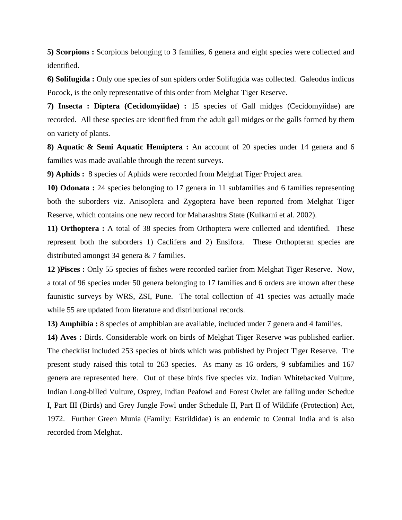**5) Scorpions :** Scorpions belonging to 3 families, 6 genera and eight species were collected and identified.

**6) Solifugida :** Only one species of sun spiders order Solifugida was collected. Galeodus indicus Pocock, is the only representative of this order from Melghat Tiger Reserve.

**7) Insecta : Diptera (Cecidomyiidae) :** 15 species of Gall midges (Cecidomyiidae) are recorded. All these species are identified from the adult gall midges or the galls formed by them on variety of plants.

**8) Aquatic & Semi Aquatic Hemiptera :** An account of 20 species under 14 genera and 6 families was made available through the recent surveys.

**9) Aphids :** 8 species of Aphids were recorded from Melghat Tiger Project area.

**10) Odonata :** 24 species belonging to 17 genera in 11 subfamilies and 6 families representing both the suborders viz. Anisoplera and Zygoptera have been reported from Melghat Tiger Reserve, which contains one new record for Maharashtra State (Kulkarni et al. 2002).

**11) Orthoptera :** A total of 38 species from Orthoptera were collected and identified. These represent both the suborders 1) Caclifera and 2) Ensifora. These Orthopteran species are distributed amongst 34 genera & 7 families.

**12 )Pisces :** Only 55 species of fishes were recorded earlier from Melghat Tiger Reserve. Now, a total of 96 species under 50 genera belonging to 17 families and 6 orders are known after these faunistic surveys by WRS, ZSI, Pune. The total collection of 41 species was actually made while 55 are updated from literature and distributional records.

**13) Amphibia :** 8 species of amphibian are available, included under 7 genera and 4 families.

**14) Aves :** Birds. Considerable work on birds of Melghat Tiger Reserve was published earlier. The checklist included 253 species of birds which was published by Project Tiger Reserve. The present study raised this total to 263 species. As many as 16 orders, 9 subfamilies and 167 genera are represented here. Out of these birds five species viz. Indian Whitebacked Vulture, Indian Long-billed Vulture, Osprey, Indian Peafowl and Forest Owlet are falling under Schedue I, Part III (Birds) and Grey Jungle Fowl under Schedule II, Part II of Wildlife (Protection) Act, 1972. Further Green Munia (Family: Estrildidae) is an endemic to Central India and is also recorded from Melghat.